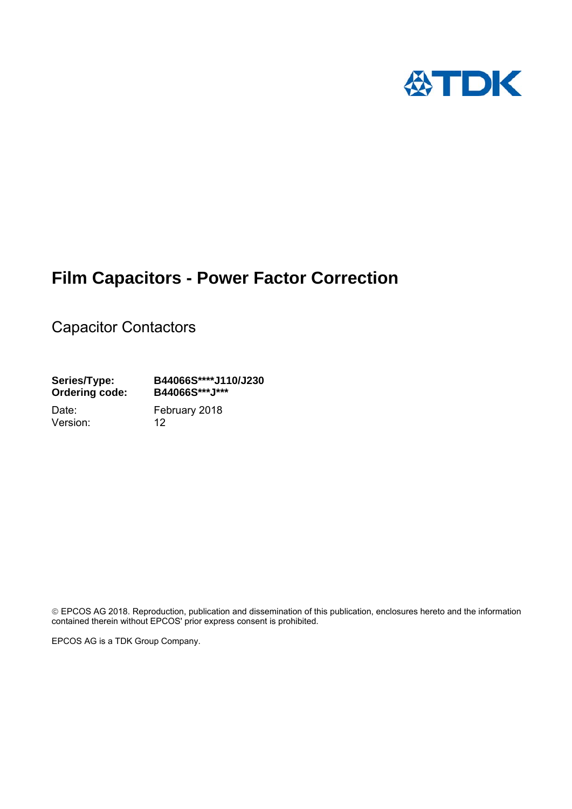

# **Film Capacitors - Power Factor Correction**

Capacitor Contactors

**Series/Type: B44066S\*\*\*\*J110/J230 Ordering code:** 

Version: 12

Date: February 2018

 EPCOS AG 2018. Reproduction, publication and dissemination of this publication, enclosures hereto and the information contained therein without EPCOS' prior express consent is prohibited.

EPCOS AG is a TDK Group Company.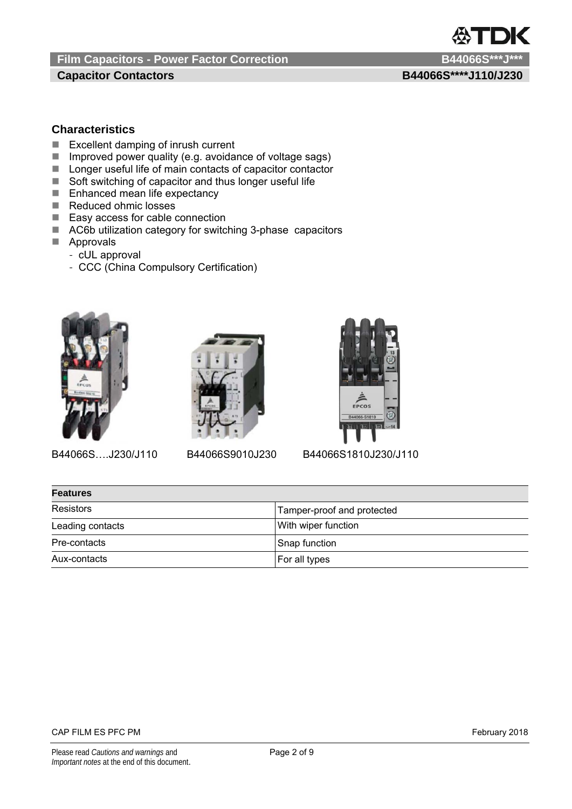**Capacitor Contactors B44066S\*\*\*\*J110/J230** 

TDK

# **Characteristics**

- Excellent damping of inrush current
- Improved power quality (e.g. avoidance of voltage sags)
- Longer useful life of main contacts of capacitor contactor
- Soft switching of capacitor and thus longer useful life
- Enhanced mean life expectancy
- Reduced ohmic losses
- Easy access for cable connection
- AC6b utilization category for switching 3-phase capacitors
- **Approvals** 
	- cUL approval
	- CCC (China Compulsory Certification)







B44066S….J230/J110 B44066S9010J230 B44066S1810J230/J110

| <b>Features</b>  |                            |  |  |  |  |
|------------------|----------------------------|--|--|--|--|
| Resistors        | Tamper-proof and protected |  |  |  |  |
| Leading contacts | With wiper function        |  |  |  |  |
| Pre-contacts     | Snap function              |  |  |  |  |
| Aux-contacts     | For all types              |  |  |  |  |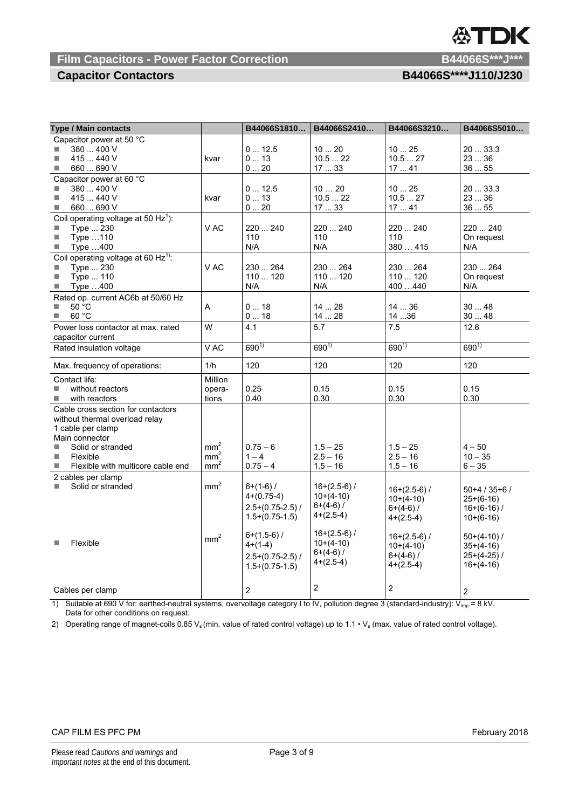# **Film Capacitors - Power Factor Correction**

# **Capacitor Contactors**

| -----<br>۱ ه. ا |  |
|-----------------|--|
|                 |  |
|                 |  |

| Type / Main contacts                                                                                                                                                                               |                                                       | B44066S1810                                                                                                                                 | B44066S2410                                                                                                                | B44066S3210                                                                                                                | B44066S5010                                                                                                            |
|----------------------------------------------------------------------------------------------------------------------------------------------------------------------------------------------------|-------------------------------------------------------|---------------------------------------------------------------------------------------------------------------------------------------------|----------------------------------------------------------------------------------------------------------------------------|----------------------------------------------------------------------------------------------------------------------------|------------------------------------------------------------------------------------------------------------------------|
| Capacitor power at 50 °C<br>380  400 V<br>H<br>415  440 V<br>m.<br>660  690 V<br>×                                                                                                                 | kvar                                                  | 012.5<br>013<br>020                                                                                                                         | 1020<br>10.522<br>1733                                                                                                     | 1025<br>10.527<br>1741                                                                                                     | 20  33.3<br>23  36<br>3655                                                                                             |
| Capacitor power at 60 °C<br>380  400 V<br>×<br>415  440 V<br>×.<br>×<br>660  690 V                                                                                                                 | kvar                                                  | 012.5<br>013<br>020                                                                                                                         | 1020<br>10.522<br>1733                                                                                                     | 1025<br>10.527<br>1741                                                                                                     | 20  33.3<br>23  36<br>3655                                                                                             |
| Coil operating voltage at 50 Hz <sup>1</sup> ):<br>Type  230<br>L.<br>$\mathcal{L}_{\mathcal{A}}$<br>Type 110<br>$\mathcal{L}_{\mathcal{A}}$<br>Type 400                                           | V AC                                                  | 220  240<br>110<br>N/A                                                                                                                      | 220  240<br>110<br>N/A                                                                                                     | 220  240<br>110<br>380  415                                                                                                | 220  240<br>On request<br>N/A                                                                                          |
| Coil operating voltage at 60 Hz <sup>1)</sup> :<br>Type  230<br>×.<br>$\mathcal{L}_{\mathcal{A}}$<br>Type  110<br>Type 400<br>$\mathcal{L}_{\mathcal{A}}$                                          | V AC                                                  | 230  264<br>110  120<br>N/A                                                                                                                 | 230  264<br>110  120<br>N/A                                                                                                | 230  264<br>110  120<br>400440                                                                                             | 230  264<br>On request<br>N/A                                                                                          |
| Rated op. current AC6b at 50/60 Hz<br>50 °C<br>H<br>60 °C<br>m.                                                                                                                                    | A                                                     | 018<br>018                                                                                                                                  | 1428<br>1428                                                                                                               | 1436<br>1436                                                                                                               | 3048<br>3048                                                                                                           |
| Power loss contactor at max. rated<br>capacitor current                                                                                                                                            | W                                                     | 4.1                                                                                                                                         | 5.7                                                                                                                        | 7.5                                                                                                                        | 12.6                                                                                                                   |
| Rated insulation voltage                                                                                                                                                                           | V AC                                                  | $690^{1}$                                                                                                                                   | $690^{1}$                                                                                                                  | $690^{1}$                                                                                                                  | $690^{1}$                                                                                                              |
| Max. frequency of operations:                                                                                                                                                                      | 1/h                                                   | 120                                                                                                                                         | 120                                                                                                                        | 120                                                                                                                        | 120                                                                                                                    |
| Contact life:<br>without reactors<br>m.<br>a.<br>with reactors                                                                                                                                     | Million<br>opera-<br>tions                            | 0.25<br>0.40                                                                                                                                | 0.15<br>0.30                                                                                                               | 0.15<br>0.30                                                                                                               | 0.15<br>0.30                                                                                                           |
| Cable cross section for contactors<br>without thermal overload relay<br>1 cable per clamp<br>Main connector<br>Solid or stranded<br>n.<br>×.<br>Flexible<br>×<br>Flexible with multicore cable end | mm <sup>2</sup><br>mm <sup>2</sup><br>mm <sup>2</sup> | $0.75 - 6$<br>$1 - 4$<br>$0.75 - 4$                                                                                                         | $1.5 - 25$<br>$2.5 - 16$<br>$1.5 - 16$                                                                                     | $1.5 - 25$<br>$2.5 - 16$<br>$1.5 - 16$                                                                                     | $4 - 50$<br>$10 - 35$<br>6 – 35                                                                                        |
| 2 cables per clamp<br>Solid or stranded<br>×<br>Flexible<br>×                                                                                                                                      | mm <sup>2</sup><br>mm <sup>2</sup>                    | $6+(1-6)$ /<br>$4+(0.75-4)$<br>$2.5+(0.75-2.5)$ /<br>$1.5+(0.75-1.5)$<br>$6+(1.5-6)$ /<br>4+(1-4)<br>$2.5+(0.75-2.5)$ /<br>$1.5+(0.75-1.5)$ | $16+(2.5-6)$ /<br>$10+(4-10)$<br>$6+(4-6)$ /<br>$4+(2.5-4)$<br>$16+(2.5-6)$ /<br>$10+(4-10)$<br>$6+(4-6)$ /<br>$4+(2.5-4)$ | $16+(2.5-6)$ /<br>$10+(4-10)$<br>$6+(4-6)$ /<br>$4+(2.5-4)$<br>$16+(2.5-6)$ /<br>$10+(4-10)$<br>$6+(4-6)$ /<br>$4+(2.5-4)$ | $50+4/35+6/$<br>25+(6-16)<br>$16+(6-16)$ /<br>$10+(6-16)$<br>$50+(4-10)$ /<br>$35+(4-16)$<br>25+(4-25)/<br>$16+(4-16)$ |
| Cables per clamp<br>$\left( \bigcup_{n=1}^{\infty} C_{n} \right)$                                                                                                                                  |                                                       | 2                                                                                                                                           | $\overline{c}$                                                                                                             | $\overline{2}$                                                                                                             | 2<br>0 <sub>1</sub>                                                                                                    |

1) Suitable at 690 V for: earthed-neutral systems, overvoltage category I to IV, pollution degree 3 (standard-industry):  $V_{imp} = 8$  kV. Data for other conditions on request.

2) Operating range of magnet-coils 0.85  $V_s$  (min. value of rated control voltage) up to 1.1  $\cdot$   $V_s$  (max. value of rated control voltage).

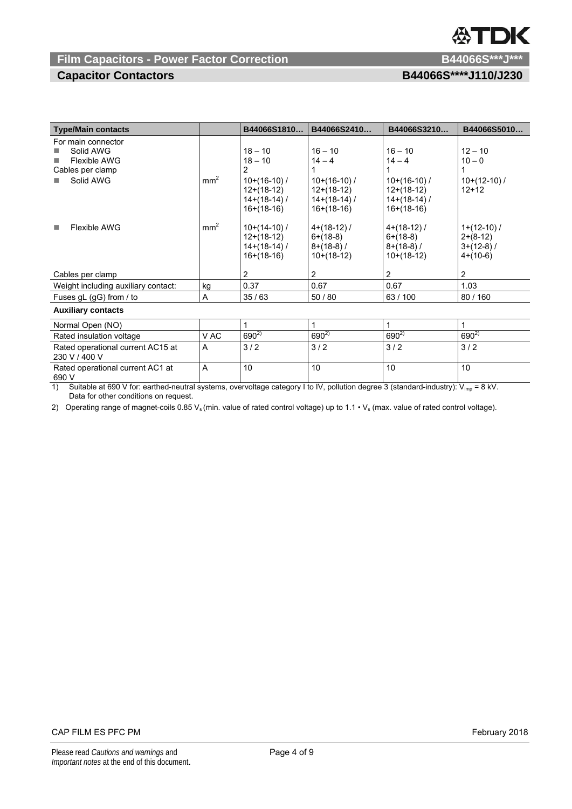# DK

# **Film Capacitors - Power Factor Correction Material Contract Correction B44066S\*\*\*J\*\***

**Capacitor Contactors B44066S\*\*\*\*J110/J230** 

| <b>Type/Main contacts</b>                                                               |                 | B44066S1810                                                                      | B44066S2410                                                                 | B44066S3210                                                                 | B44066S5010                                               |  |
|-----------------------------------------------------------------------------------------|-----------------|----------------------------------------------------------------------------------|-----------------------------------------------------------------------------|-----------------------------------------------------------------------------|-----------------------------------------------------------|--|
| For main connector<br>Solid AWG<br><b>Flexible AWG</b><br>Cables per clamp<br>Solid AWG | mm <sup>2</sup> | $18 - 10$<br>$18 - 10$<br>2<br>$10+(16-10)$ /<br>$12+(18-12)$<br>$14+(18-14)$ /  | $16 - 10$<br>$14 - 4$<br>$10+(16-10)$ /<br>$12+(18-12)$<br>$14+(18-14)$ /   | $16 - 10$<br>$14 - 4$<br>$10+(16-10)$ /<br>$12+(18-12)$<br>$14+(18-14)$ /   | $12 - 10$<br>$10 - 0$<br>$10+(12-10)$ /<br>$12+12$        |  |
| Flexible AWG<br>ш                                                                       | mm <sup>2</sup> | $16+(18-16)$<br>$10+(14-10)$ /<br>$12+(18-12)$<br>$14+(18-14)$ /<br>$16+(18-16)$ | $16+(18-16)$<br>$4+(18-12)$ /<br>$6+(18-8)$<br>$8+(18-8)$ /<br>$10+(18-12)$ | $16+(18-16)$<br>$4+(18-12)$ /<br>$6+(18-8)$<br>$8+(18-8)$ /<br>$10+(18-12)$ | $1+(12-10)$ /<br>$2+(8-12)$<br>$3+(12-8)$ /<br>$4+(10-6)$ |  |
| Cables per clamp                                                                        |                 | 2                                                                                | 2                                                                           | 2                                                                           | 2                                                         |  |
| Weight including auxiliary contact:                                                     | kg              | 0.37                                                                             | 0.67                                                                        | 0.67                                                                        | 1.03                                                      |  |
| Fuses $gL$ (gG) from / to                                                               | A               | 35/63                                                                            | 50/80                                                                       | 63/100                                                                      | 80/160                                                    |  |
| <b>Auxiliary contacts</b>                                                               |                 |                                                                                  |                                                                             |                                                                             |                                                           |  |
| Normal Open (NO)                                                                        |                 | 1                                                                                | 1                                                                           | 1                                                                           | 1                                                         |  |
| Rated insulation voltage                                                                | V AC            | $690^{2}$                                                                        | $690^{2}$                                                                   | $690^{2}$                                                                   | $690^{2}$                                                 |  |
| Rated operational current AC15 at<br>230 V / 400 V                                      | Α               | 3/2                                                                              | 3/2                                                                         | 3/2                                                                         | 3/2                                                       |  |
| Rated operational current AC1 at                                                        | A               | 10                                                                               | 10                                                                          | 10                                                                          | 10                                                        |  |

 $\frac{690 \text{ V}}{1}$ 1) Suitable at 690 V for: earthed-neutral systems, overvoltage category I to IV, pollution degree 3 (standard-industry):  $V_{imp} = 8$  kV. Data for other conditions on request.

2) Operating range of magnet-coils  $0.85 V_s$  (min. value of rated control voltage) up to 1.1 •  $V_s$  (max. value of rated control voltage).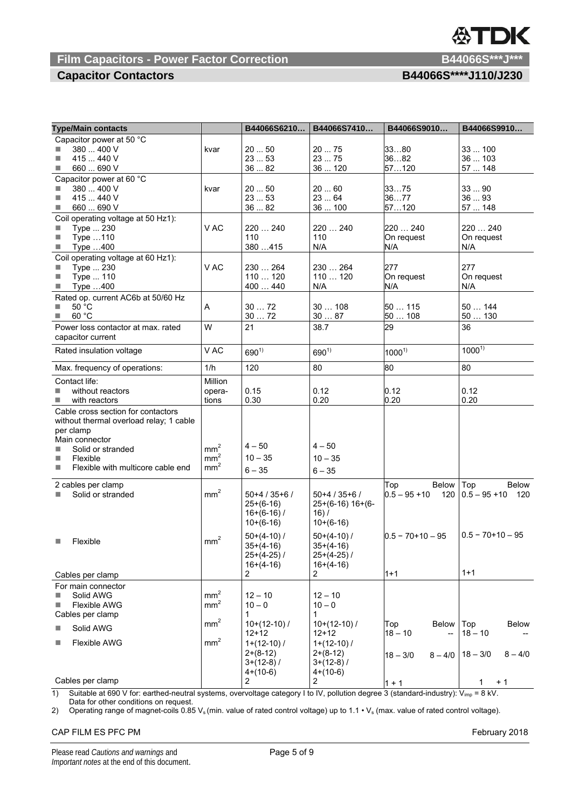# **Film Capacitors - Power Factor Correction B44066S\*\*\*J\*\*\***

| <b>Capacitor Contactors</b> | B44066S****J110/J230 |
|-----------------------------|----------------------|
|                             |                      |

| <b>Type/Main contacts</b>               |                 | B44066S6210    | B44066S7410        | B44066S9010             | B44066S9910             |
|-----------------------------------------|-----------------|----------------|--------------------|-------------------------|-------------------------|
| Capacitor power at 50 °C                |                 |                |                    |                         |                         |
| 380  400 V                              | kvar            | 2050           | 2075               | 3380                    | 33  100                 |
| 415  440 V<br>П                         |                 | 2353           | 23  75             | 3682                    | 36  103                 |
| 660  690 V<br>×                         |                 | 3682           | 36  120            | 57120                   | 57  148                 |
| Capacitor power at 60 °C                |                 |                |                    |                         |                         |
| 380  400 V                              | kvar            | 2050           | 2060               | 3375                    | 3390                    |
| 415  440 V<br>П                         |                 | 2353           | 23  64             | 3677                    | 3693                    |
| 660  690 V<br>×                         |                 | 3682           | 36  100            | 57120                   | 57  148                 |
| Coil operating voltage at 50 Hz1):      |                 |                |                    |                         |                         |
| Type  230<br>Ш                          | V AC            | 220  240       | 220  240           | 220  240                | 220  240                |
| $\mathcal{L}_{\mathcal{A}}$             |                 | 110            | 110                | On request              | On request              |
| Type 110<br>$\Box$                      |                 | 380415         | N/A                | N/A                     | N/A                     |
| Type 400                                |                 |                |                    |                         |                         |
| Coil operating voltage at 60 Hz1):      |                 |                |                    |                         |                         |
| Type  230                               | V AC            | 230  264       | 230  264           | 277                     | 277                     |
| Type  110<br>П                          |                 | 110  120       | 110120             | On request              | On request              |
| Type 400<br>$\Box$                      |                 | 400  440       | N/A                | N/A                     | N/A                     |
| Rated op. current AC6b at 50/60 Hz      |                 |                |                    |                         |                         |
| 50 °C<br>п                              | Α               | 3072           | 30108              | 50 … 115                | 50  144                 |
| 60 °C<br>L.                             |                 | 3072           | 3087               | 50  108                 | 50130                   |
| Power loss contactor at max. rated      | W               | 21             | 38.7               | 29                      | 36                      |
| capacitor current                       |                 |                |                    |                         |                         |
| Rated insulation voltage                | V AC            | $690^{1}$      | $690^{1}$          |                         | $1000^{17}$             |
|                                         |                 |                |                    | $1000^{1}$              |                         |
| Max. frequency of operations:           | 1/h             | 120            | 80                 | 80                      | 80                      |
| Contact life:                           | Million         |                |                    |                         |                         |
| without reactors<br>n.                  | opera-          | 0.15           | 0.12               | 0.12                    | 0.12                    |
| with reactors<br>T.                     | tions           | 0.30           | 0.20               | 0.20                    | 0.20                    |
| Cable cross section for contactors      |                 |                |                    |                         |                         |
| without thermal overload relay; 1 cable |                 |                |                    |                         |                         |
| per clamp                               |                 |                |                    |                         |                         |
| Main connector                          |                 |                |                    |                         |                         |
| Solid or stranded                       | mm <sup>2</sup> | $4 - 50$       | $4 - 50$           |                         |                         |
| Flexible<br>u                           | mm <sup>2</sup> | $10 - 35$      | $10 - 35$          |                         |                         |
| Flexible with multicore cable end<br>×  | mm <sup>2</sup> | $6 - 35$       | $6 - 35$           |                         |                         |
|                                         |                 |                |                    |                         |                         |
| 2 cables per clamp                      |                 |                |                    | <b>Below</b><br>Top     | Top<br>Below            |
| Solid or stranded                       | mm <sup>2</sup> | $50+4/35+6/$   | $50+4/35+6/$       | $0.5 - 95 + 10$<br>120  | $0.5 - 95 + 10$<br>120  |
|                                         |                 | $25+(6-16)$    | $25+(6-16)$ 16+(6- |                         |                         |
|                                         |                 | $16+(6-16)$ /  | 16) /              |                         |                         |
|                                         |                 | $10+(6-16)$    | $10+(6-16)$        |                         |                         |
|                                         |                 | $50+(4-10)$ /  | $50+(4-10)$ /      | $0.5 - 70 + 10 - 95$    | $0.5 - 70 + 10 - 95$    |
| Flexible<br>П                           | mm <sup>2</sup> | $35+(4-16)$    | $35+(4-16)$        |                         |                         |
|                                         |                 | $25+(4-25)$ /  | $25+(4-25)$ /      |                         |                         |
|                                         |                 | $16+(4-16)$    | $16+(4-16)$        |                         |                         |
| Cables per clamp                        |                 | 2              | 2                  | $1 + 1$                 | $1 + 1$                 |
|                                         |                 |                |                    |                         |                         |
| For main connector                      |                 |                |                    |                         |                         |
| Solid AWG                               | mm <sup>2</sup> | $12 - 10$      | $12 - 10$          |                         |                         |
| Flexible AWG                            | mm <sup>2</sup> | $10 - 0$       | $10 - 0$           |                         |                         |
| Cables per clamp                        |                 | 1              | 1                  |                         |                         |
| Solid AWG                               | mm <sup>2</sup> | $10+(12-10)$ / | $10+(12-10)$ /     | Top<br><b>Below</b>     | <b>Below</b><br>Top     |
|                                         |                 | $12 + 12$      | 12+12              | $18 - 10$               | $18 - 10$               |
| Flexible AWG                            | mm <sup>2</sup> | $1+(12-10)$ /  | $1+(12-10)$ /      |                         |                         |
|                                         |                 | $2+(8-12)$     | $2+(8-12)$         | $18 - 3/0$<br>$8 - 4/0$ | $18 - 3/0$<br>$8 - 4/0$ |
|                                         |                 | $3+(12-8)$ /   | $3+(12-8)$ /       |                         |                         |
|                                         |                 | $4+(10-6)$     | $4+(10-6)$         |                         |                         |
| Cables per clamp                        |                 | $\overline{2}$ | $2^{\circ}$        | $1 + 1$                 | $+1$<br>1               |

1) Suitable at 690 V for: earthed-neutral systems, overvoltage category I to IV, pollution degree 3 (standard-industry):  $V_{imp} = 8$  kV. Data for other conditions on request.

2) Operating range of magnet-coils 0.85 V<sub>s</sub> (min. value of rated control voltage) up to 1.1  $\cdot$  V<sub>s</sub> (max. value of rated control voltage).

### CAP FILM ES PFC PM February 2018

# DK H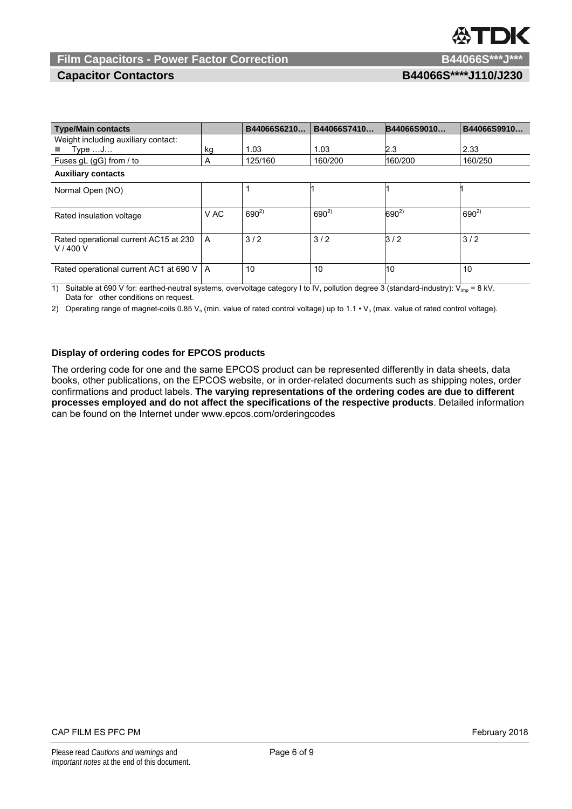# DК

## **Film Capacitors - Power Factor Correction B44066S\*\*\*J\*\*\***

**Capacitor Contactors B44066S\*\*\*\*J110/J230** 

| <b>Type/Main contacts</b>                       |      | B44066S6210 | B44066S7410 | B44066S9010 | B44066S9910 |  |
|-------------------------------------------------|------|-------------|-------------|-------------|-------------|--|
| Weight including auxiliary contact:             |      |             |             |             |             |  |
| $Type \dots J \dots$                            | kg   | 1.03        | 1.03        | 2.3         | 2.33        |  |
| Fuses gL (gG) from / to                         | A    | 125/160     | 160/200     | 160/200     | 160/250     |  |
| <b>Auxiliary contacts</b>                       |      |             |             |             |             |  |
| Normal Open (NO)                                |      |             |             |             |             |  |
| Rated insulation voltage                        | V AC | $690^{2}$   | $690^{2}$   | $690^{2}$   | $690^{2}$   |  |
| Rated operational current AC15 at 230<br>V/400V | A    | 3/2         | 3/2         | 3/2         | 3/2         |  |
| Rated operational current AC1 at 690 V   A      |      | 10          | 10          | 10          | 10          |  |

1) Suitable at 690 V for: earthed-neutral systems, overvoltage category I to IV, pollution degree 3 (standard-industry): Vimp = 8 kV. Data for other conditions on request.

2) Operating range of magnet-coils 0.85  $V_s$  (min. value of rated control voltage) up to 1.1  $\cdot$   $V_s$  (max. value of rated control voltage).

### **Display of ordering codes for EPCOS products**

The ordering code for one and the same EPCOS product can be represented differently in data sheets, data books, other publications, on the EPCOS website, or in order-related documents such as shipping notes, order confirmations and product labels. **The varying representations of the ordering codes are due to different processes employed and do not affect the specifications of the respective products**. Detailed information can be found on the Internet under www.epcos.com/orderingcodes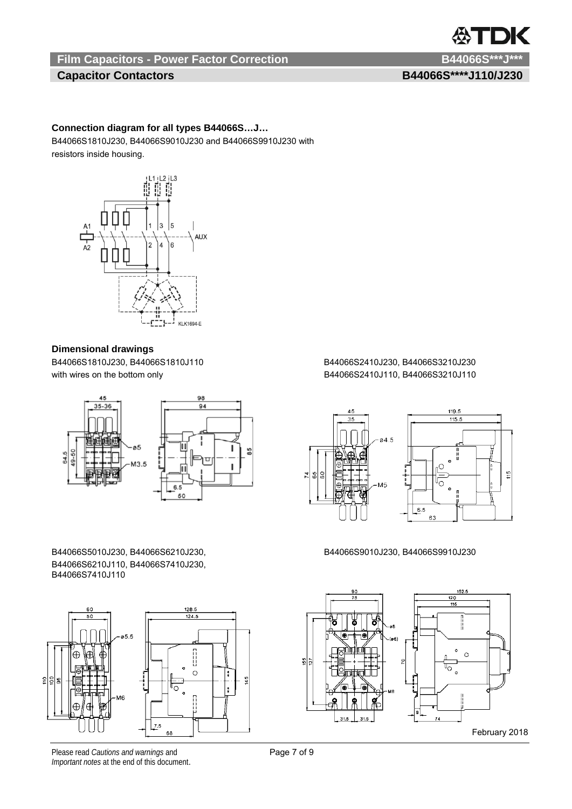# **Film Capacitors - Power Factor Correction B44066S\*\*\*J\*\*\***

# **Capacitor Contactors B44066S\*\*\*\*J110/J230**

**XTDK** 

### **Connection diagram for all types B44066S…J…**

B44066S1810J230, B44066S9010J230 and B44066S9910J230 with resistors inside housing.



### **Dimensional drawings**

B44066S1810J230, B44066S1810J110 B44066S2410J230, B44066S3210J230 with wires on the bottom only example and the bottom only and the B44066S2410J110, B44066S3210J110



B44066S5010J230, B44066S6210J230, B44066S9010J230, B44066S9910J230 B44066S6210J110, B44066S7410J230, B44066S7410J110



Please read *Cautions and warnings* and **Page 7 of 9** Page 7 of 9 *Important notes* at the end of this document.



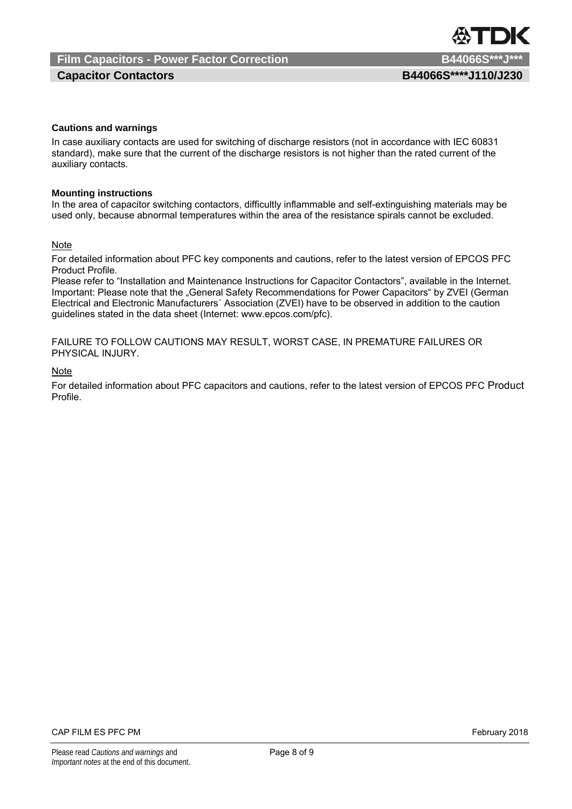## **Capacitor Contactors B44066S\*\*\*\*J110/J230**

### **Cautions and warnings**

In case auxiliary contacts are used for switching of discharge resistors (not in accordance with IEC 60831 standard), make sure that the current of the discharge resistors is not higher than the rated current of the auxiliary contacts.

#### **Mounting instructions**

In the area of capacitor switching contactors, difficultly inflammable and self-extinguishing materials may be used only, because abnormal temperatures within the area of the resistance spirals cannot be excluded.

#### Note

For detailed information about PFC key components and cautions, refer to the latest version of EPCOS PFC Product Profile.

Please refer to "Installation and Maintenance Instructions for Capacitor Contactors", available in the Internet. Important: Please note that the "General Safety Recommendations for Power Capacitors" by ZVEI (German Electrical and Electronic Manufacturers´ Association (ZVEI) have to be observed in addition to the caution guidelines stated in the data sheet (Internet: www.epcos.com/pfc).

FAILURE TO FOLLOW CAUTIONS MAY RESULT, WORST CASE, IN PREMATURE FAILURES OR PHYSICAL INJURY.

### Note

For detailed information about PFC capacitors and cautions, refer to the latest version of EPCOS PFC Product Profile.